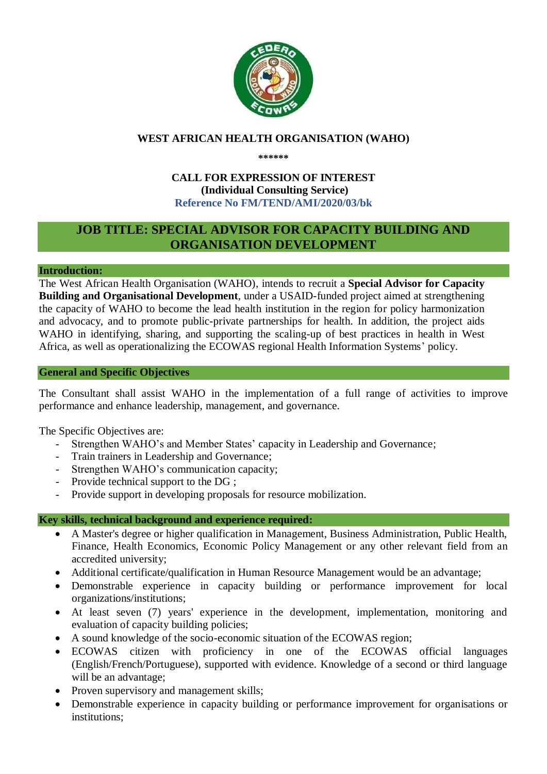

## **WEST AFRICAN HEALTH ORGANISATION (WAHO)**

**\*\*\*\*\*\***

## **CALL FOR EXPRESSION OF INTEREST (Individual Consulting Service) Reference No FM/TEND/AMI/2020/03/bk**

# **JOB TITLE: SPECIAL ADVISOR FOR CAPACITY BUILDING AND ORGANISATION DEVELOPMENT**

#### **Introduction:**

The West African Health Organisation (WAHO), intends to recruit a **Special Advisor for Capacity Building and Organisational Development**, under a USAID-funded project aimed at strengthening the capacity of WAHO to become the lead health institution in the region for policy harmonization and advocacy, and to promote public-private partnerships for health. In addition, the project aids WAHO in identifying, sharing, and supporting the scaling-up of best practices in health in West Africa, as well as operationalizing the ECOWAS regional Health Information Systems' policy.

#### **General and Specific Objectives**

The Consultant shall assist WAHO in the implementation of a full range of activities to improve performance and enhance leadership, management, and governance.

The Specific Objectives are:

- Strengthen WAHO's and Member States' capacity in Leadership and Governance;
- Train trainers in Leadership and Governance;
- Strengthen WAHO's communication capacity;
- Provide technical support to the DG ;
- Provide support in developing proposals for resource mobilization.

#### **Key skills, technical background and experience required:**

- A Master's degree or higher qualification in Management, Business Administration, Public Health, Finance, Health Economics, Economic Policy Management or any other relevant field from an accredited university;
- Additional certificate/qualification in Human Resource Management would be an advantage;
- Demonstrable experience in capacity building or performance improvement for local organizations/institutions;
- At least seven (7) years' experience in the development, implementation, monitoring and evaluation of capacity building policies;
- A sound knowledge of the socio-economic situation of the ECOWAS region;
- ECOWAS citizen with proficiency in one of the ECOWAS official languages (English/French/Portuguese), supported with evidence. Knowledge of a second or third language will be an advantage;
- Proven supervisory and management skills;
- Demonstrable experience in capacity building or performance improvement for organisations or institutions;